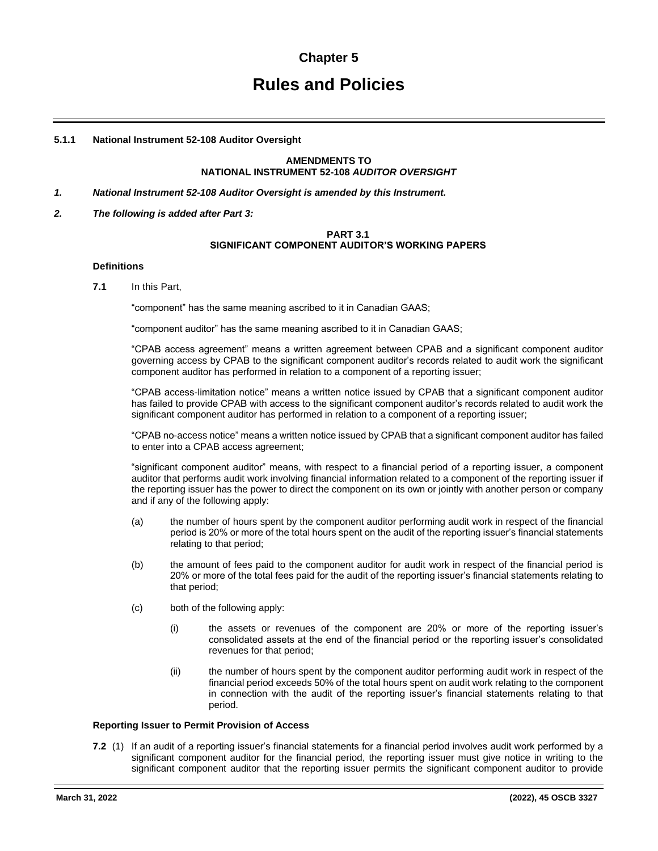# **Chapter 5**

# **Rules and Policies**

# **5.1.1 National Instrument 52-108 Auditor Oversight**

#### **AMENDMENTS TO NATIONAL INSTRUMENT 52-108** *AUDITOR OVERSIGHT*

- *1. National Instrument 52-108 Auditor Oversight is amended by this Instrument.*
- *2. The following is added after Part 3:*

# **PART 3.1 SIGNIFICANT COMPONENT AUDITOR'S WORKING PAPERS**

#### **Definitions**

**7.1** In this Part,

"component" has the same meaning ascribed to it in Canadian GAAS;

"component auditor" has the same meaning ascribed to it in Canadian GAAS;

"CPAB access agreement" means a written agreement between CPAB and a significant component auditor governing access by CPAB to the significant component auditor's records related to audit work the significant component auditor has performed in relation to a component of a reporting issuer;

"CPAB access-limitation notice" means a written notice issued by CPAB that a significant component auditor has failed to provide CPAB with access to the significant component auditor's records related to audit work the significant component auditor has performed in relation to a component of a reporting issuer;

"CPAB no-access notice" means a written notice issued by CPAB that a significant component auditor has failed to enter into a CPAB access agreement;

"significant component auditor" means, with respect to a financial period of a reporting issuer, a component auditor that performs audit work involving financial information related to a component of the reporting issuer if the reporting issuer has the power to direct the component on its own or jointly with another person or company and if any of the following apply:

- (a) the number of hours spent by the component auditor performing audit work in respect of the financial period is 20% or more of the total hours spent on the audit of the reporting issuer's financial statements relating to that period;
- (b) the amount of fees paid to the component auditor for audit work in respect of the financial period is 20% or more of the total fees paid for the audit of the reporting issuer's financial statements relating to that period;
- (c) both of the following apply:
	- (i) the assets or revenues of the component are 20% or more of the reporting issuer's consolidated assets at the end of the financial period or the reporting issuer's consolidated revenues for that period;
	- (ii) the number of hours spent by the component auditor performing audit work in respect of the financial period exceeds 50% of the total hours spent on audit work relating to the component in connection with the audit of the reporting issuer's financial statements relating to that period.

#### **Reporting Issuer to Permit Provision of Access**

**7.2** (1) If an audit of a reporting issuer's financial statements for a financial period involves audit work performed by a significant component auditor for the financial period, the reporting issuer must give notice in writing to the significant component auditor that the reporting issuer permits the significant component auditor to provide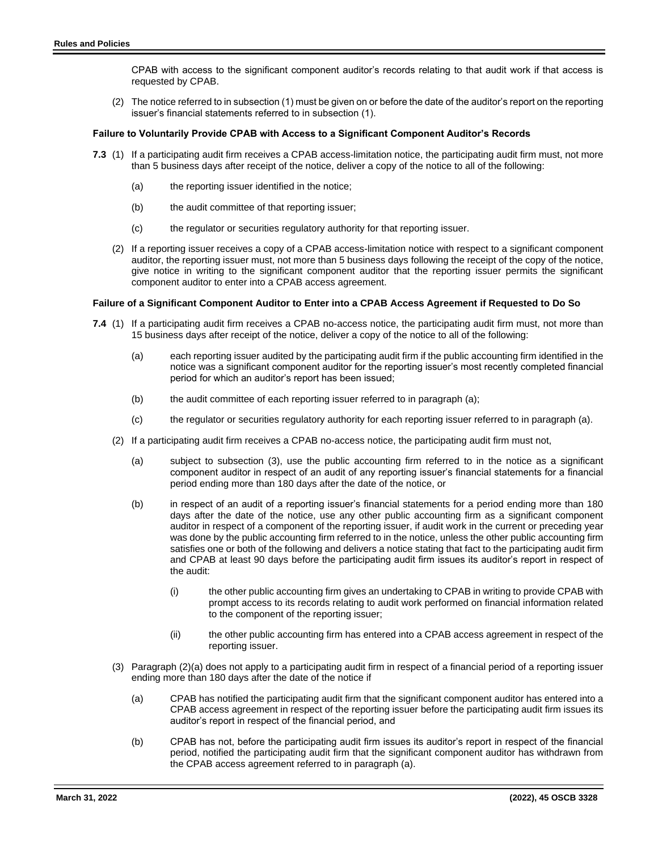CPAB with access to the significant component auditor's records relating to that audit work if that access is requested by CPAB.

(2) The notice referred to in subsection (1) must be given on or before the date of the auditor's report on the reporting issuer's financial statements referred to in subsection (1).

#### **Failure to Voluntarily Provide CPAB with Access to a Significant Component Auditor's Records**

- **7.3** (1) If a participating audit firm receives a CPAB access-limitation notice, the participating audit firm must, not more than 5 business days after receipt of the notice, deliver a copy of the notice to all of the following:
	- (a) the reporting issuer identified in the notice;
	- (b) the audit committee of that reporting issuer;
	- (c) the regulator or securities regulatory authority for that reporting issuer.
	- (2) If a reporting issuer receives a copy of a CPAB access-limitation notice with respect to a significant component auditor, the reporting issuer must, not more than 5 business days following the receipt of the copy of the notice, give notice in writing to the significant component auditor that the reporting issuer permits the significant component auditor to enter into a CPAB access agreement.

#### **Failure of a Significant Component Auditor to Enter into a CPAB Access Agreement if Requested to Do So**

- **7.4** (1) If a participating audit firm receives a CPAB no-access notice, the participating audit firm must, not more than 15 business days after receipt of the notice, deliver a copy of the notice to all of the following:
	- (a) each reporting issuer audited by the participating audit firm if the public accounting firm identified in the notice was a significant component auditor for the reporting issuer's most recently completed financial period for which an auditor's report has been issued;
	- (b) the audit committee of each reporting issuer referred to in paragraph (a);
	- (c) the regulator or securities regulatory authority for each reporting issuer referred to in paragraph (a).
	- (2) If a participating audit firm receives a CPAB no-access notice, the participating audit firm must not,
		- (a) subject to subsection (3), use the public accounting firm referred to in the notice as a significant component auditor in respect of an audit of any reporting issuer's financial statements for a financial period ending more than 180 days after the date of the notice, or
		- (b) in respect of an audit of a reporting issuer's financial statements for a period ending more than 180 days after the date of the notice, use any other public accounting firm as a significant component auditor in respect of a component of the reporting issuer, if audit work in the current or preceding year was done by the public accounting firm referred to in the notice, unless the other public accounting firm satisfies one or both of the following and delivers a notice stating that fact to the participating audit firm and CPAB at least 90 days before the participating audit firm issues its auditor's report in respect of the audit:
			- (i) the other public accounting firm gives an undertaking to CPAB in writing to provide CPAB with prompt access to its records relating to audit work performed on financial information related to the component of the reporting issuer;
			- (ii) the other public accounting firm has entered into a CPAB access agreement in respect of the reporting issuer.
	- (3) Paragraph (2)(a) does not apply to a participating audit firm in respect of a financial period of a reporting issuer ending more than 180 days after the date of the notice if
		- (a) CPAB has notified the participating audit firm that the significant component auditor has entered into a CPAB access agreement in respect of the reporting issuer before the participating audit firm issues its auditor's report in respect of the financial period, and
		- (b) CPAB has not, before the participating audit firm issues its auditor's report in respect of the financial period, notified the participating audit firm that the significant component auditor has withdrawn from the CPAB access agreement referred to in paragraph (a).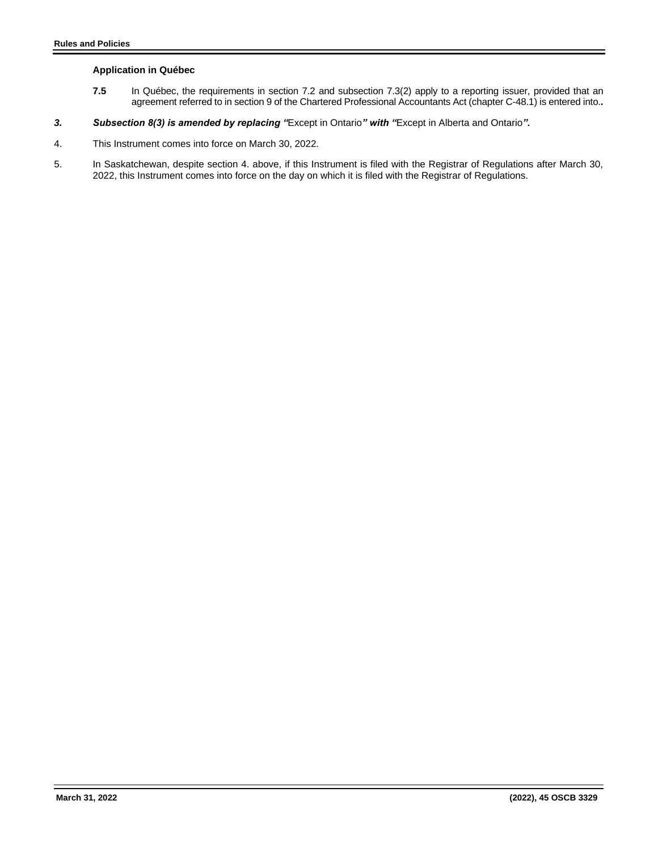# **Application in Québec**

- **7.5** In Québec, the requirements in section 7.2 and subsection 7.3(2) apply to a reporting issuer, provided that an agreement referred to in section 9 of the Chartered Professional Accountants Act (chapter C-48.1) is entered into.**.**
- *3. Subsection 8(3) is amended by replacing "*Except in Ontario*" with "*Except in Alberta and Ontario*".*
- 4. This Instrument comes into force on March 30, 2022.
- 5. In Saskatchewan, despite section 4. above, if this Instrument is filed with the Registrar of Regulations after March 30, 2022, this Instrument comes into force on the day on which it is filed with the Registrar of Regulations.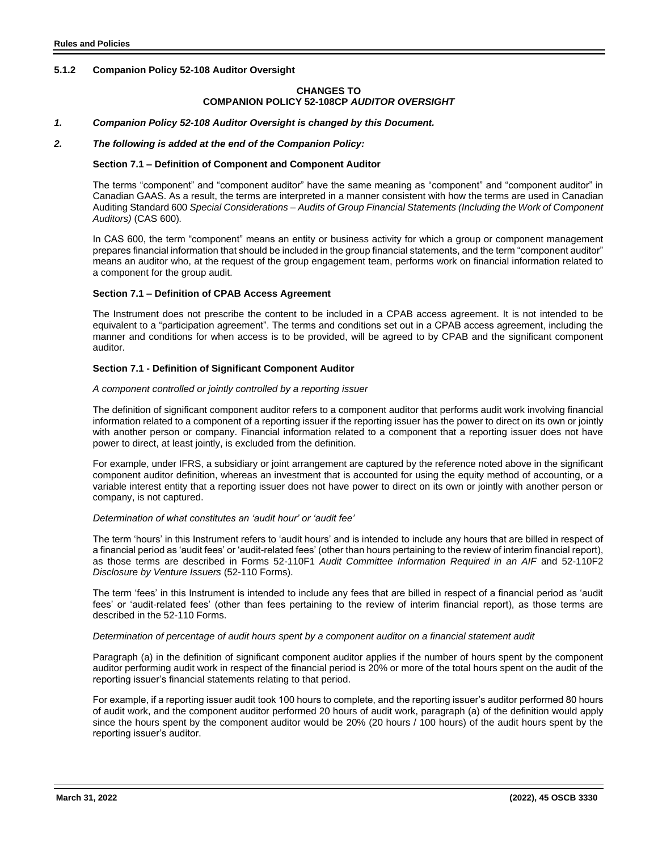# **5.1.2 Companion Policy 52-108 Auditor Oversight**

# **CHANGES TO COMPANION POLICY 52-108CP** *AUDITOR OVERSIGHT*

# *1. Companion Policy 52-108 Auditor Oversight is changed by this Document.*

#### *2. The following is added at the end of the Companion Policy:*

#### **Section 7.1 – Definition of Component and Component Auditor**

The terms "component" and "component auditor" have the same meaning as "component" and "component auditor" in Canadian GAAS. As a result, the terms are interpreted in a manner consistent with how the terms are used in Canadian Auditing Standard 600 *Special Considerations – Audits of Group Financial Statements (Including the Work of Component Auditors)* (CAS 600)*.* 

In CAS 600, the term "component" means an entity or business activity for which a group or component management prepares financial information that should be included in the group financial statements, and the term "component auditor" means an auditor who, at the request of the group engagement team, performs work on financial information related to a component for the group audit.

#### **Section 7.1 – Definition of CPAB Access Agreement**

The Instrument does not prescribe the content to be included in a CPAB access agreement. It is not intended to be equivalent to a "participation agreement". The terms and conditions set out in a CPAB access agreement, including the manner and conditions for when access is to be provided, will be agreed to by CPAB and the significant component auditor.

#### **Section 7.1 - Definition of Significant Component Auditor**

#### *A component controlled or jointly controlled by a reporting issuer*

The definition of significant component auditor refers to a component auditor that performs audit work involving financial information related to a component of a reporting issuer if the reporting issuer has the power to direct on its own or jointly with another person or company. Financial information related to a component that a reporting issuer does not have power to direct, at least jointly, is excluded from the definition.

For example, under IFRS, a subsidiary or joint arrangement are captured by the reference noted above in the significant component auditor definition, whereas an investment that is accounted for using the equity method of accounting, or a variable interest entity that a reporting issuer does not have power to direct on its own or jointly with another person or company, is not captured.

#### *Determination of what constitutes an 'audit hour' or 'audit fee'*

The term 'hours' in this Instrument refers to 'audit hours' and is intended to include any hours that are billed in respect of a financial period as 'audit fees' or 'audit-related fees' (other than hours pertaining to the review of interim financial report), as those terms are described in Forms 52-110F1 *Audit Committee Information Required in an AIF* and 52-110F2 *Disclosure by Venture Issuers* (52-110 Forms).

The term 'fees' in this Instrument is intended to include any fees that are billed in respect of a financial period as 'audit fees' or 'audit-related fees' (other than fees pertaining to the review of interim financial report), as those terms are described in the 52-110 Forms.

#### *Determination of percentage of audit hours spent by a component auditor on a financial statement audit*

Paragraph (a) in the definition of significant component auditor applies if the number of hours spent by the component auditor performing audit work in respect of the financial period is 20% or more of the total hours spent on the audit of the reporting issuer's financial statements relating to that period.

For example, if a reporting issuer audit took 100 hours to complete, and the reporting issuer's auditor performed 80 hours of audit work, and the component auditor performed 20 hours of audit work, paragraph (a) of the definition would apply since the hours spent by the component auditor would be 20% (20 hours / 100 hours) of the audit hours spent by the reporting issuer's auditor.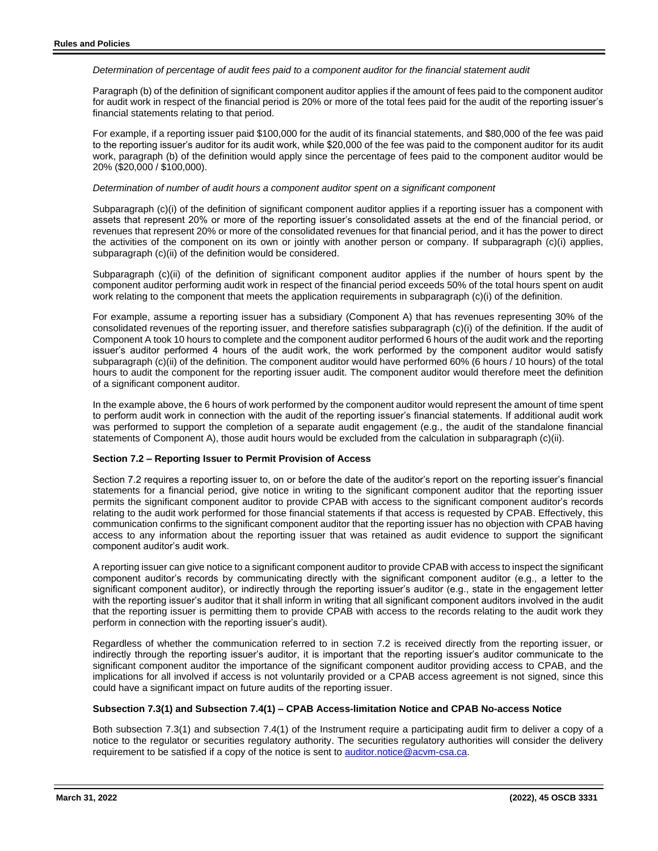*Determination of percentage of audit fees paid to a component auditor for the financial statement audit*

Paragraph (b) of the definition of significant component auditor applies if the amount of fees paid to the component auditor for audit work in respect of the financial period is 20% or more of the total fees paid for the audit of the reporting issuer's financial statements relating to that period.

For example, if a reporting issuer paid \$100,000 for the audit of its financial statements, and \$80,000 of the fee was paid to the reporting issuer's auditor for its audit work, while \$20,000 of the fee was paid to the component auditor for its audit work, paragraph (b) of the definition would apply since the percentage of fees paid to the component auditor would be 20% (\$20,000 / \$100,000).

#### *Determination of number of audit hours a component auditor spent on a significant component*

Subparagraph (c)(i) of the definition of significant component auditor applies if a reporting issuer has a component with assets that represent 20% or more of the reporting issuer's consolidated assets at the end of the financial period, or revenues that represent 20% or more of the consolidated revenues for that financial period, and it has the power to direct the activities of the component on its own or jointly with another person or company. If subparagraph (c)(i) applies, subparagraph (c)(ii) of the definition would be considered.

Subparagraph (c)(ii) of the definition of significant component auditor applies if the number of hours spent by the component auditor performing audit work in respect of the financial period exceeds 50% of the total hours spent on audit work relating to the component that meets the application requirements in subparagraph (c)(i) of the definition.

For example, assume a reporting issuer has a subsidiary (Component A) that has revenues representing 30% of the consolidated revenues of the reporting issuer, and therefore satisfies subparagraph (c)(i) of the definition. If the audit of Component A took 10 hours to complete and the component auditor performed 6 hours of the audit work and the reporting issuer's auditor performed 4 hours of the audit work, the work performed by the component auditor would satisfy subparagraph (c)(ii) of the definition. The component auditor would have performed 60% (6 hours / 10 hours) of the total hours to audit the component for the reporting issuer audit. The component auditor would therefore meet the definition of a significant component auditor.

In the example above, the 6 hours of work performed by the component auditor would represent the amount of time spent to perform audit work in connection with the audit of the reporting issuer's financial statements. If additional audit work was performed to support the completion of a separate audit engagement (e.g., the audit of the standalone financial statements of Component A), those audit hours would be excluded from the calculation in subparagraph (c)(ii).

# **Section 7.2 – Reporting Issuer to Permit Provision of Access**

Section 7.2 requires a reporting issuer to, on or before the date of the auditor's report on the reporting issuer's financial statements for a financial period, give notice in writing to the significant component auditor that the reporting issuer permits the significant component auditor to provide CPAB with access to the significant component auditor's records relating to the audit work performed for those financial statements if that access is requested by CPAB. Effectively, this communication confirms to the significant component auditor that the reporting issuer has no objection with CPAB having access to any information about the reporting issuer that was retained as audit evidence to support the significant component auditor's audit work.

A reporting issuer can give notice to a significant component auditor to provide CPAB with access to inspect the significant component auditor's records by communicating directly with the significant component auditor (e.g., a letter to the significant component auditor), or indirectly through the reporting issuer's auditor (e.g., state in the engagement letter with the reporting issuer's auditor that it shall inform in writing that all significant component auditors involved in the audit that the reporting issuer is permitting them to provide CPAB with access to the records relating to the audit work they perform in connection with the reporting issuer's audit).

Regardless of whether the communication referred to in section 7.2 is received directly from the reporting issuer, or indirectly through the reporting issuer's auditor, it is important that the reporting issuer's auditor communicate to the significant component auditor the importance of the significant component auditor providing access to CPAB, and the implications for all involved if access is not voluntarily provided or a CPAB access agreement is not signed, since this could have a significant impact on future audits of the reporting issuer.

#### **Subsection 7.3(1) and Subsection 7.4(1) – CPAB Access-limitation Notice and CPAB No-access Notice**

Both subsection 7.3(1) and subsection 7.4(1) of the Instrument require a participating audit firm to deliver a copy of a notice to the regulator or securities regulatory authority. The securities regulatory authorities will consider the delivery requirement to be satisfied if a copy of the notice is sent to [auditor.notice@acvm-csa.ca.](mailto:auditor.notice@acvm-csa.ca)